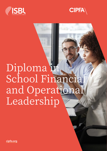



# Diploma in School Financial and Operational Leadership

**[cipfa.org](http://www.cipfa.org)**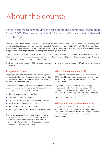## About the course

School business leaders provide critical support and operational leadership to School CEO's, Headteachers and Senior Leadership Teams – of which they will often be a part.

The evolving educational landscape has changed the offer from Local Authorities, and as a result school business management professionals have become even more important, especially in Academies and Multi Academy Trusts (MATs). This means that school leadership teams increasingly need to include a Chief Finance/Operations Officer or similar role to oversee (amongst other things) finance, corporate governance, risk management and strategic procurement.

In response, the Chartered Institute of Public Finance and Accountancy (CIPFA) and The Institute of School Business Leadership (ISBL) have worked in partnership to develop the Diploma in School Financial and Operational Leadership, offering high-quality training for school business management professionals.

The Diploma has been mapped by CIPFA as broadly equivalent to a level seven (post-graduate) qualification in relation to degree of challenge.

#### **Programme focus**

The programme aims to ensure that resources and expertise are deployed in the most effective and efficient way, to deliver optimum learning outcomes for all children and the delivery of a world-class education system.

It takes into account past qualifications and provides a flexible blend of e-learning, workbooks and face-to-face sessions to enable participants to develop their skills in:

- Financial management and reporting
- The education funding environment
- Writing business cases and taking investment decisions
- Governance, accountability and assurance
- Procurement and contract management
- Liaising with, and providing information to, internal and external auditors.

This training recognises the government's commitment to public sector efficiency and value for money. ISBL is working with the Department for Education in its drive for a selfimproving educational system, which is capable of developing and managing organisational structures.

#### **Who is the course aimed at?**

The programme is aimed at School Business Professionals (SBPs) - individuals who are current or aspiring Chief Finance Officers (CFO) or Chief Operating Officers (COO) in schools and academies.

Programme participants could be currently working inside or outside education, with different paths through the programme available for different past skill sets and experiences. Those working in education could be from: Local Authority maintained schools, independent Academies and MATs or independent schools.

#### **What you are required to commit to**

To gain the accredited qualification, participants must successfully complete nine modules across three stages. Exemptions are available for qualified accountants and those who have completed relevant, previous qualifications - see page 4 for details.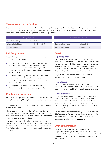#### **Two routes to accreditation**

There are two routes to accreditation – the Full Programme, which is open to all and the Practitioner Programme, which is for those who already hold a recognised accountancy qualification or the legacy Level 4 CIPFA/ISBL Diploma in Financial Skills. The duration, content and cost is dependent on previous qualifications.

| <b>Full programme</b>     |                       | <b>Practitioner programme</b> |                 |  |
|---------------------------|-----------------------|-------------------------------|-----------------|--|
| <b>Foundation Stage</b>   | Module 1              |                               |                 |  |
| <b>Intermediate Stage</b> | Modules 2, 3, 4, 5, 6 | <b>Intermediate Stage</b>     | Modules 2, 6    |  |
| <b>Practitioner Stage</b> | Modules 7, 8, 9       | <b>Practitioner Stage</b>     | Modules 7, 8, 9 |  |

#### **Full Programme**

Anyone taking the Full Programme will need to undertake all three stages of nine modules.

- The Foundation Stage covers module 1 and will provide participants with basic skills and knowledge about academy finance and operations, allowing them to undertake the second and third stages of the programme with confidence.
- The Intermediate Stage builds on this knowledge and covers modules 2, 3, 4, 5 and 6. It explores complex issues around the finance and operations of academies and school structures.
- The programme culminates with the Practitioner Stage (see below) and covers modules 7, 8, and 9.

#### **Practitioner Programme**

Anyone who is a qualified accountant or who has achieved the legacy Level 4 CIPFA/ISBL Diploma in Financial Skills can opt for this route.

Participants will start at the Intermediate Stage and undertake two modules (2 and 6).

All participants have to undertake the Practitioner Stage, which will equip them with the knowledge and experience to tackle more complex issues around the finance and operations in academies and school structures.

It will provide contextual knowledge for those operating in high-level finance positions, but not familiar with the education sector, and will also assist those School Business Professionals (SBPs) already in the sector who wish to expand and develop their role.

#### **Benefits**

#### **To participants**

Those who successfully complete the Diploma in School Financial and Operational Leadership will be able to progress their career, assured that they meet the highest professional standards. This programme has been designed to provide a route to a professional accountancy qualification via CIPFA, should participants wish to pursue this in the future.

They will receive exemptions on the CIPFA Professional Qualification or their chosen route of study.

#### **To employers**

This prestigious programme will enable employers to be assured of value for money from the certificate holder and so ensure the highest possible drive for public sector efficiency.

#### **To the profession**

Programme completion will also provide necessary evidence when applying for ISBL Fellowship, should participants wish to receive this accolade from their professional body and be recognised across the sector for professional excellence. Successful participants will also be able to apply for CIPFA Affiliate membership.

This programme has been specifically designed to meet the ISBL Professional Standards as developed by the key sector stakeholders and practitioners and recognised by the DfE.

**www.isbl.org.uk/professionalstandards**

#### **Entry requirements**

Whilst there are no specific entry requirements, this programme of training would be most applicable to those who are undertaking, or have in the past undertaken, a School/ Academy Business Manager or Education Finance roles and responsibilities.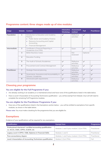| <b>Stage</b>      |                            | Module Content                                                                                                                                                                                        | <b>Interactive</b><br>Workshop | Assessment<br>method     | Full         | <b>Practitioner</b> |
|-------------------|----------------------------|-------------------------------------------------------------------------------------------------------------------------------------------------------------------------------------------------------|--------------------------------|--------------------------|--------------|---------------------|
| <b>Foundation</b> | $\mathbf{1}$               | Introduction to Education and Academy<br>Finance<br>Public Sector and Academy Finance<br>$\bullet$<br>Resource Accounting and Capital<br>$\bullet$<br>Accounting<br>Financial Management<br>$\bullet$ | $\checkmark$                   | Reflective<br>activities | $\checkmark$ |                     |
| Intermediate      | $\overline{2}$             | Certificate in Financial Reporting in<br>Academies (Cert FRA)                                                                                                                                         | $\checkmark$                   | Exam                     | $\checkmark$ | $\checkmark$        |
|                   | 3                          | <b>Better Business Cases</b>                                                                                                                                                                          |                                | Not<br>assessed          | Optional     |                     |
|                   | $\boldsymbol{\mathcal{A}}$ | <b>Education Funding</b>                                                                                                                                                                              |                                |                          |              |                     |
|                   | 5                          | The Audit of Schools /Academies                                                                                                                                                                       | $\checkmark$                   | Reflective<br>activities | $\checkmark$ |                     |
|                   | 6                          | Procurement and Contract Management                                                                                                                                                                   | $\checkmark$                   | Reflective<br>activities | $\checkmark$ | $\checkmark$        |
| Practitioner      | $\overline{7}$             | Strategic financial planning                                                                                                                                                                          | $\checkmark$                   | Reflective<br>activities | $\checkmark$ | $\checkmark$        |
|                   | 8                          | Governance, Assurance and Accountability in<br>Schools / Academies                                                                                                                                    | $\checkmark$                   | Reflective<br>activities | $\checkmark$ | $\checkmark$        |
|                   | 9                          | Advanced audit requirements                                                                                                                                                                           | $\checkmark$                   | Reflective<br>activities | $\checkmark$ | $\checkmark$        |

#### **Programme content: three stages made up of nine modules**

#### **Choosing your programme**

#### **You are eligible for the Full Programme if you:**

- Are already working in an academy or a maintained school and have none of the qualifications listed in the table below.
- Have a Level 4 Association of Accounting Technicians qualification you will be exempt from Module 2 but will still need to complete the remaining Full Programme modules.

#### **You are eligible for the Practitioner Programme if you:**

• Have any of the qualifications listed in the Exemptions section below – you will be entitled to exemptions from specific modules, as shown in the table below.

**Please note:** You must make a booking for the programme that you are eligible for.

#### **Exemptions**

Evidence of your qualifications will be required for any exemptions.

| Qualification                                                                                     | <b>Exempt from</b>                       | Programme    |
|---------------------------------------------------------------------------------------------------|------------------------------------------|--------------|
| Professional chartered / certified accounting qualification<br>i.e. ACCA, CIMA, CIPFA, ICAEW, etc | Modules 1 and 5 plus module 2 (Cert FRA) | Practitioner |
| Legacy Level 4 CIPFA / ISBL Diploma in Financial Skills                                           | Modules 1 and 5                          | Practitioner |
| Pure accountancy degree                                                                           | Modules 1 and 5 plus module 2 (Cert FRA) | Practitioner |
| Level 4 Association of Accounting Technicians qualification                                       | Module 2 (Cert FRA)                      | Full         |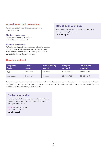#### **Accreditation and assessment**

To gain accreditation, participants are required to complete or pass:

#### **Multiple-choice exam**

**Certificate in Financial Reporting** Intermediate Stage, module 2.

#### **Portfolio of evidence**

Reflective learning activities must be completed for modules 1, 5, 6, 7, 8 and 9. This requires evidence of learning and critical analysis, and how the skills developed have been translated to the working environment.

#### **Duration and cost**

#### **How to book your place**

To find out when the next available dates are and to book your place, please visit:

**[www.isbl.org.uk](http://www.isbl.org.uk)**

| Programme<br>Route  | <b>Duration</b><br>(approx) | <b>Hours of learning</b><br>(approx) | <b>Cost (ISBL)</b><br>members) | Cost (non ISBL<br>members) |
|---------------------|-----------------------------|--------------------------------------|--------------------------------|----------------------------|
| Full                | 12 months                   | 200 hours                            | $£2.950 + VAT$                 | $E3.540 + VAT$             |
| <b>Practitioner</b> | 6 months*                   | 80 hours                             | $£2,050 + VAT$                 | $E2,460 + VAT$             |

\*Each cohort contains a mix of delegates taking both the Foundation programme and the Practitioner programme. For those on the Practitioner programme, this means that the programme will take 12 months to complete, but as you are exempt from some modules, your hours of learning will be reduced.

#### **Further information**

If you have any further questions or would like to discuss your options with one of our professional development colleagues, then please:

**email** training@isbl.org.uk **call** 02476 231 221 **[www.isbl.org.uk](http://www.isbl.org.uk)**